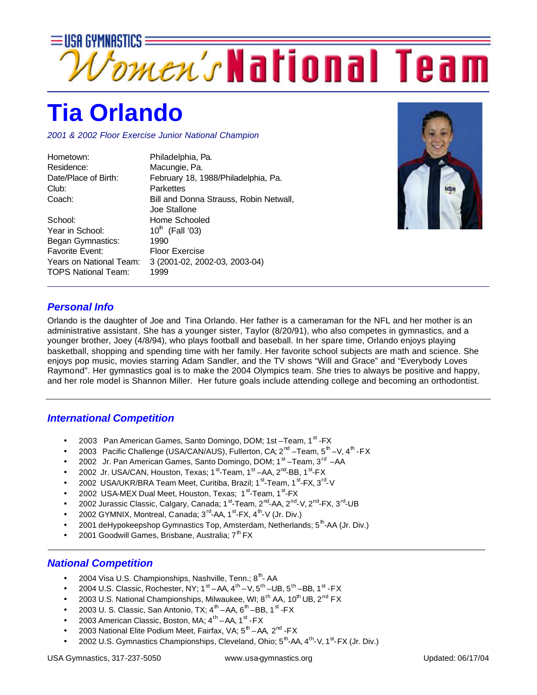

## **Tia Orlando**

Began Gymnastics: 1990

TOPS National Team: 1999

Favorite Event: Floor Exercise

*2001 & 2002 Floor Exercise Junior National Champion*

Years on National Team: 3 (2001-02, 2002-03, 2003-04)

| Hometown:            | Philadelphia, Pa.                      |
|----------------------|----------------------------------------|
| Residence:           | Macungie, Pa.                          |
| Date/Place of Birth: | February 18, 1988/Philadelphia, Pa.    |
| Club:                | <b>Parkettes</b>                       |
| Coach:               | Bill and Donna Strauss, Robin Netwall, |
|                      | Joe Stallone                           |
| School:              | Home Schooled                          |
| Year in School:      | 10 <sup>th</sup> (Fall '03)            |



## *Personal Info*

Orlando is the daughter of Joe and Tina Orlando. Her father is a cameraman for the NFL and her mother is an administrative assistant. She has a younger sister, Taylor (8/20/91), who also competes in gymnastics, and a younger brother, Joey (4/8/94), who plays football and baseball. In her spare time, Orlando enjoys playing basketball, shopping and spending time with her family. Her favorite school subjects are math and science. She enjoys pop music, movies starring Adam Sandler, and the TV shows "Will and Grace" and "Everybody Loves Raymond". Her gymnastics goal is to make the 2004 Olympics team. She tries to always be positive and happy, and her role model is Shannon Miller. Her future goals include attending college and becoming an orthodontist.

## *International Competition*

- 2003 Pan American Games, Santo Domingo, DOM; 1st -Team, 1<sup>st</sup> -FX
- 2003 Pacific Challenge (USA/CAN/AUS), Fullerton, CA; 2<sup>nd</sup> –Team, 5<sup>th</sup> –V, 4<sup>th</sup> -FX
- 2002 Jr. Pan American Games, Santo Domingo, DOM; 1<sup>st</sup> Team, 3<sup>rd</sup> AA
- 2002 Jr. USA/CAN, Houston, Texas; 1<sup>st</sup>-Team, 1<sup>st</sup>-AA, 2<sup>nd</sup>-BB, 1<sup>st</sup>-FX
- 2002 USA/UKR/BRA Team Meet, Curitiba, Brazil; 1<sup>st</sup>-Team, 1<sup>st</sup>-FX, 3<sup>rd</sup>-V
- 2002 USA-MEX Dual Meet, Houston, Texas; 1<sup>st</sup>-Team, 1<sup>st</sup>-FX
- 2002 Jurassic Classic, Calgary, Canada; 1<sup>st</sup>-Team, 2<sup>nd</sup>-AA, 2<sup>nd</sup>-V, 2<sup>nd</sup>-FX, 3<sup>rd</sup>-UB
- 2002 GYMNIX, Montreal, Canada; 3<sup>rd</sup>-AA, 1<sup>st</sup>-FX, 4<sup>th</sup>-V (Jr. Div.)
- 2001 deHypokeepshop Gymnastics Top, Amsterdam, Netherlands; 5<sup>th</sup>-AA (Jr. Div.)
- 2001 Goodwill Games, Brisbane, Australia; 7<sup>th</sup> FX

## *National Competition*

- 2004 Visa U.S. Championships, Nashville, Tenn.;  $8<sup>th</sup>$  AA
- 2004 U.S. Classic, Rochester, NY; 1<sup>st</sup> AA, 4<sup>th</sup> V, 5<sup>th</sup> UB, 5<sup>th</sup> BB, 1<sup>st</sup> FX
- 2003 U.S. National Championships, Milwaukee, WI;  $8^{th}$  AA,  $10^{th}$  UB,  $2^{nd}$  FX
- 2003 U. S. Classic, San Antonio, TX;  $4^{\text{th}}$  AA,  $6^{\text{th}}$  BB, 1<sup>st</sup> FX
- 2003 American Classic, Boston, MA; 4<sup>th</sup> AA, 1<sup>st</sup> FX
- 2003 National Elite Podium Meet, Fairfax, VA;  $5^{\text{th}}$  AA, 2<sup>nd</sup> FX
- 2002 U.S. Gymnastics Championships, Cleveland, Ohio; 5<sup>th</sup>-AA, 4<sup>th</sup>-V, 1<sup>st</sup>-FX (Jr. Div.)

\_\_\_\_\_\_\_\_\_\_\_\_\_\_\_\_\_\_\_\_\_\_\_\_\_\_\_\_\_\_\_\_\_\_\_\_\_\_\_\_\_\_\_\_\_\_\_\_\_\_\_\_\_\_\_\_\_\_\_\_\_\_\_\_\_\_\_\_\_\_\_\_\_\_\_\_\_\_\_\_\_\_\_\_\_\_\_\_\_\_\_\_\_\_\_